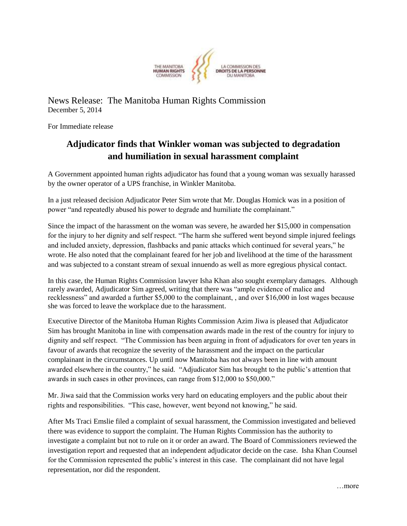

News Release: The Manitoba Human Rights Commission December 5, 2014

For Immediate release

## **Adjudicator finds that Winkler woman was subjected to degradation and humiliation in sexual harassment complaint**

A Government appointed human rights adjudicator has found that a young woman was sexually harassed by the owner operator of a UPS franchise, in Winkler Manitoba.

In a just released decision Adjudicator Peter Sim wrote that Mr. Douglas Homick was in a position of power "and repeatedly abused his power to degrade and humiliate the complainant."

Since the impact of the harassment on the woman was severe, he awarded her \$15,000 in compensation for the injury to her dignity and self respect. "The harm she suffered went beyond simple injured feelings and included anxiety, depression, flashbacks and panic attacks which continued for several years," he wrote. He also noted that the complainant feared for her job and livelihood at the time of the harassment and was subjected to a constant stream of sexual innuendo as well as more egregious physical contact.

In this case, the Human Rights Commission lawyer Isha Khan also sought exemplary damages. Although rarely awarded, Adjudicator Sim agreed, writing that there was "ample evidence of malice and recklessness" and awarded a further \$5,000 to the complainant, , and over \$16,000 in lost wages because she was forced to leave the workplace due to the harassment.

Executive Director of the Manitoba Human Rights Commission Azim Jiwa is pleased that Adjudicator Sim has brought Manitoba in line with compensation awards made in the rest of the country for injury to dignity and self respect. "The Commission has been arguing in front of adjudicators for over ten years in favour of awards that recognize the severity of the harassment and the impact on the particular complainant in the circumstances. Up until now Manitoba has not always been in line with amount awarded elsewhere in the country," he said. "Adjudicator Sim has brought to the public's attention that awards in such cases in other provinces, can range from \$12,000 to \$50,000."

Mr. Jiwa said that the Commission works very hard on educating employers and the public about their rights and responsibilities. "This case, however, went beyond not knowing," he said.

After Ms Traci Emslie filed a complaint of sexual harassment, the Commission investigated and believed there was evidence to support the complaint. The Human Rights Commission has the authority to investigate a complaint but not to rule on it or order an award. The Board of Commissioners reviewed the investigation report and requested that an independent adjudicator decide on the case. Isha Khan Counsel for the Commission represented the public's interest in this case. The complainant did not have legal representation, nor did the respondent.